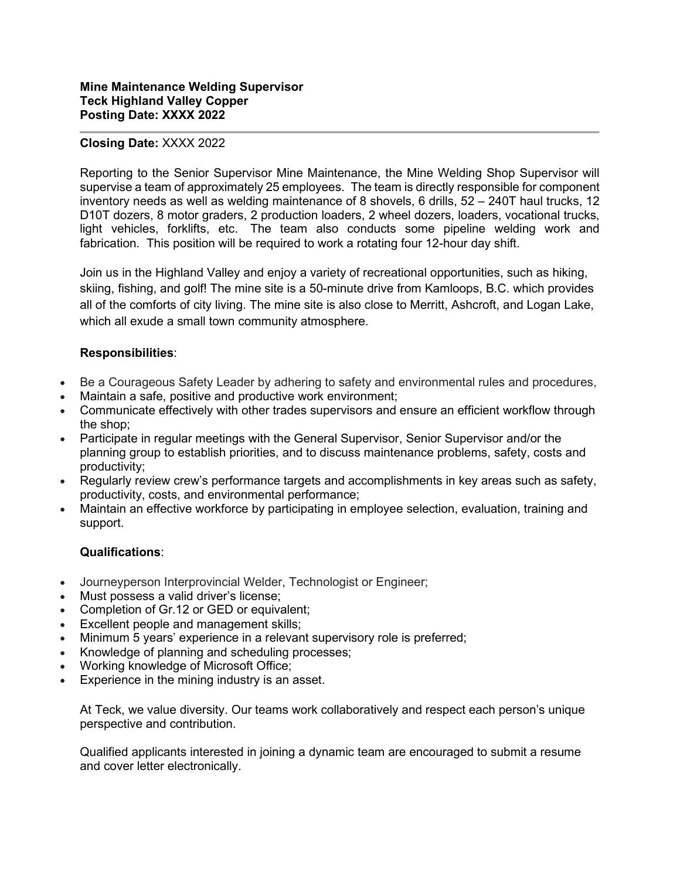## **Closing Date:** XXXX 2022

Reporting to the Senior Supervisor Mine Maintenance, the Mine Welding Shop Supervisor will supervise a team of approximately 25 employees. The team is directly responsible for component inventory needs as well as welding maintenance of 8 shovels, 6 drills, 52 – 240T haul trucks, 12 D10T dozers, 8 motor graders, 2 production loaders, 2 wheel dozers, loaders, vocational trucks, light vehicles, forklifts, etc. The team also conducts some pipeline welding work and fabrication. This position will be required to work a rotating four 12-hour day shift.

Join us in the Highland Valley and enjoy a variety of recreational opportunities, such as hiking, skiing, fishing, and golf! The mine site is a 50-minute drive from Kamloops, B.C. which provides all of the comforts of city living. The mine site is also close to Merritt, Ashcroft, and Logan Lake, which all exude a small town community atmosphere.

## **Responsibilities**:

- Be a Courageous Safety Leader by adhering to safety and environmental rules and procedures,
- Maintain a safe, positive and productive work environment;
- Communicate effectively with other trades supervisors and ensure an efficient workflow through the shop;
- Participate in regular meetings with the General Supervisor, Senior Supervisor and/or the planning group to establish priorities, and to discuss maintenance problems, safety, costs and productivity;
- Regularly review crew's performance targets and accomplishments in key areas such as safety, productivity, costs, and environmental performance;
- Maintain an effective workforce by participating in employee selection, evaluation, training and support.

## **Qualifications**:

- Journeyperson Interprovincial Welder, Technologist or Engineer;
- Must possess a valid driver's license;
- Completion of Gr.12 or GED or equivalent;
- Excellent people and management skills;
- Minimum 5 years' experience in a relevant supervisory role is preferred;
- Knowledge of planning and scheduling processes;
- Working knowledge of Microsoft Office;
- Experience in the mining industry is an asset.

At Teck, we value diversity. Our teams work collaboratively and respect each person's unique perspective and contribution.

Qualified applicants interested in joining a dynamic team are encouraged to submit a resume and cover letter electronically.